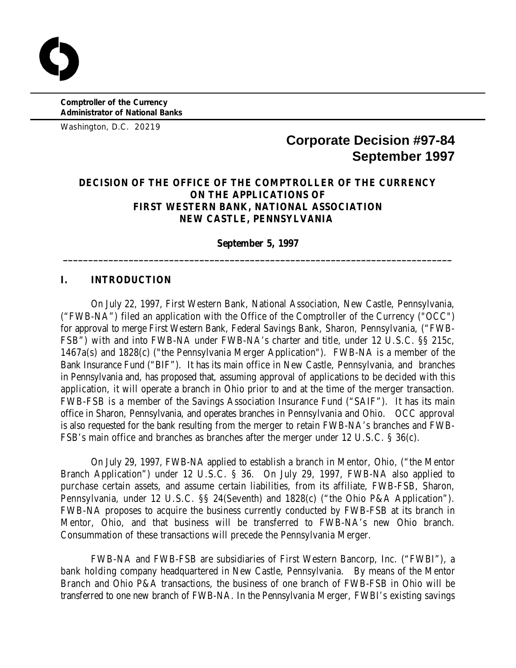**Comptroller of the Currency Administrator of National Banks**

Washington, D.C. 20219

# **Corporate Decision #97-84 September 1997**

# **DECISION OF THE OFFICE OF THE COMPTROLLER OF THE CURRENCY ON THE APPLICATIONS OF FIRST WESTERN BANK, NATIONAL ASSOCIATION NEW CASTLE, PENNSYLVANIA**

**September 5, 1997 \_\_\_\_\_\_\_\_\_\_\_\_\_\_\_\_\_\_\_\_\_\_\_\_\_\_\_\_\_\_\_\_\_\_\_\_\_\_\_\_\_\_\_\_\_\_\_\_\_\_\_\_\_\_\_\_\_\_\_\_\_\_\_\_\_\_\_\_\_\_\_\_\_\_\_\_\_**

### **I. INTRODUCTION**

On July 22, 1997, First Western Bank, National Association, New Castle, Pennsylvania, ("FWB-NA") filed an application with the Office of the Comptroller of the Currency ("OCC") for approval to merge First Western Bank, Federal Savings Bank, Sharon, Pennsylvania, ("FWB-FSB") with and into FWB-NA under FWB-NA's charter and title, under 12 U.S.C. §§ 215c, 1467a(s) and 1828(c) ("the Pennsylvania Merger Application"). FWB-NA is a member of the Bank Insurance Fund ("BIF"). It has its main office in New Castle, Pennsylvania, and branches in Pennsylvania and, has proposed that, assuming approval of applications to be decided with this application, it will operate a branch in Ohio prior to and at the time of the merger transaction. FWB-FSB is a member of the Savings Association Insurance Fund ("SAIF"). It has its main office in Sharon, Pennsylvania, and operates branches in Pennsylvania and Ohio. OCC approval is also requested for the bank resulting from the merger to retain FWB-NA's branches and FWB-FSB's main office and branches as branches after the merger under 12 U.S.C. § 36(c).

On July 29, 1997, FWB-NA applied to establish a branch in Mentor, Ohio, ("the Mentor Branch Application") under 12 U.S.C. § 36. On July 29, 1997, FWB-NA also applied to purchase certain assets, and assume certain liabilities, from its affiliate, FWB-FSB, Sharon, Pennsylvania, under 12 U.S.C. §§ 24(Seventh) and 1828(c) ("the Ohio P&A Application"). FWB-NA proposes to acquire the business currently conducted by FWB-FSB at its branch in Mentor, Ohio, and that business will be transferred to FWB-NA's new Ohio branch. Consummation of these transactions will precede the Pennsylvania Merger.

FWB-NA and FWB-FSB are subsidiaries of First Western Bancorp, Inc. ("FWBI"), a bank holding company headquartered in New Castle, Pennsylvania. By means of the Mentor Branch and Ohio P&A transactions, the business of one branch of FWB-FSB in Ohio will be transferred to one new branch of FWB-NA. In the Pennsylvania Merger, FWBI's existing savings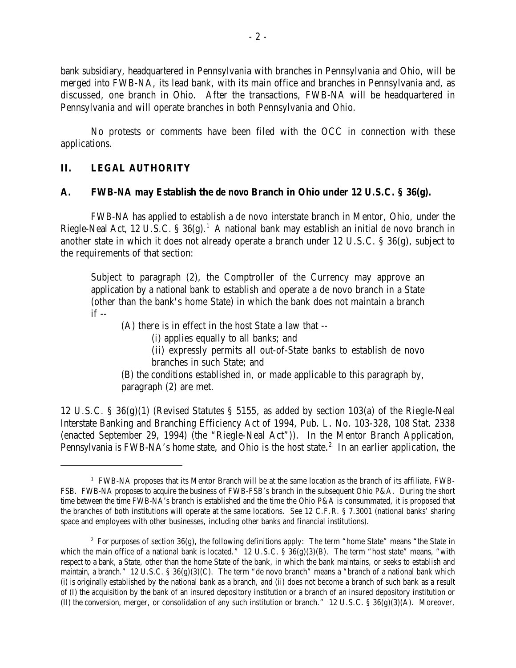bank subsidiary, headquartered in Pennsylvania with branches in Pennsylvania and Ohio, will be merged into FWB-NA, its lead bank, with its main office and branches in Pennsylvania and, as discussed, one branch in Ohio. After the transactions, FWB-NA will be headquartered in Pennsylvania and will operate branches in both Pennsylvania and Ohio.

No protests or comments have been filed with the OCC in connection with these applications.

# **II. LEGAL AUTHORITY**

### **A. FWB-NA may Establish the** *de novo* **Branch in Ohio under 12 U.S.C. § 36(g).**

FWB-NA has applied to establish a *de novo* interstate branch in Mentor, Ohio, under the Riegle-Neal Act, 12 U.S.C. § 36(g).<sup>1</sup> A national bank may establish an initial *de novo* branch in another state in which it does not already operate a branch under 12 U.S.C. § 36(g), subject to the requirements of that section:

Subject to paragraph (2), the Comptroller of the Currency may approve an application by a national bank to establish and operate a de novo branch in a State (other than the bank's home State) in which the bank does not maintain a branch  $if --$ 

(A) there is in effect in the host State a law that --

(i) applies equally to all banks; and

(ii) expressly permits all out-of-State banks to establish de novo branches in such State; and

(B) the conditions established in, or made applicable to this paragraph by, paragraph (2) are met.

12 U.S.C. § 36(g)(1) (Revised Statutes § 5155, as added by section 103(a) of the Riegle-Neal Interstate Banking and Branching Efficiency Act of 1994, Pub. L. No. 103-328, 108 Stat. 2338 (enacted September 29, 1994) (the "Riegle-Neal Act")). In the Mentor Branch Application, Pennsylvania is FWB-NA's home state, and Ohio is the host state.<sup>2</sup> In an earlier application, the

 $<sup>1</sup>$  FWB-NA proposes that its Mentor Branch will be at the same location as the branch of its affiliate, FWB-</sup> FSB. FWB-NA proposes to acquire the business of FWB-FSB's branch in the subsequent Ohio P&A. During the short time between the time FWB-NA's branch is established and the time the Ohio P&A is consummated, it is proposed that the branches of both institutions will operate at the same locations. See 12 C.F.R. § 7.3001 (national banks' sharing space and employees with other businesses, including other banks and financial institutions).

<sup>&</sup>lt;sup>2</sup> For purposes of section  $36(g)$ , the following definitions apply: The term "home State" means "the State in which the main office of a national bank is located."  $12$  U.S.C. §  $36(g)(3)(B)$ . The term "host state" means, "with respect to a bank, a State, other than the home State of the bank, in which the bank maintains, or seeks to establish and maintain, a branch." 12 U.S.C. §  $36(g)(3)(C)$ . The term "de novo branch" means a "branch of a national bank which (i) is originally established by the national bank as a branch, and (ii) does not become a branch of such bank as a result of (I) the acquisition by the bank of an insured depository institution or a branch of an insured depository institution or (II) the conversion, merger, or consolidation of any such institution or branch."  $12 \text{ U.S.C.}$  §  $36(g)(3)(\text{A})$ . Moreover,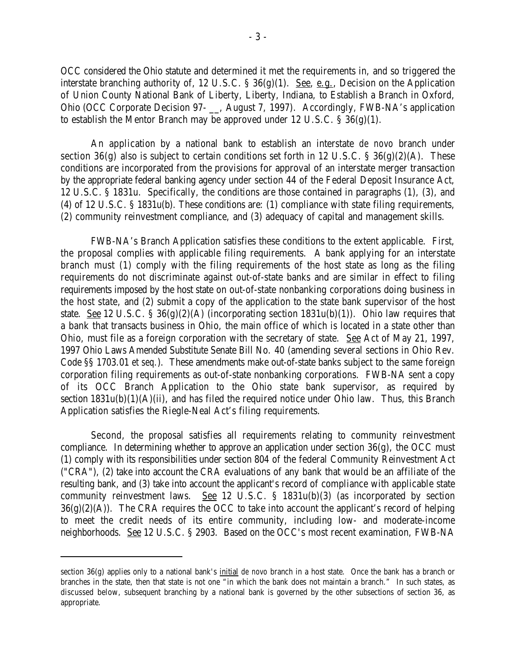OCC considered the Ohio statute and determined it met the requirements in, and so triggered the interstate branching authority of, 12 U.S.C. § 36(g)(1). See, e.g., Decision on the Application of Union County National Bank of Liberty, Liberty, Indiana, to Establish a Branch in Oxford, Ohio (OCC Corporate Decision 97- \_\_, August 7, 1997). Accordingly, FWB-NA's application to establish the Mentor Branch may be approved under 12 U.S.C. § 36(g)(1).

An application by a national bank to establish an interstate *de novo* branch under section 36(g) also is subject to certain conditions set forth in 12 U.S.C.  $\S 36(g)(2)(A)$ . These conditions are incorporated from the provisions for approval of an interstate merger transaction by the appropriate federal banking agency under section 44 of the Federal Deposit Insurance Act, 12 U.S.C. § 1831u. Specifically, the conditions are those contained in paragraphs (1), (3), and (4) of 12 U.S.C. § 1831u(b). These conditions are: (1) compliance with state filing requirements, (2) community reinvestment compliance, and (3) adequacy of capital and management skills.

FWB-NA's Branch Application satisfies these conditions to the extent applicable. First, the proposal complies with applicable filing requirements. A bank applying for an interstate branch must (1) comply with the filing requirements of the host state as long as the filing requirements do not discriminate against out-of-state banks and are similar in effect to filing requirements imposed by the host state on out-of-state nonbanking corporations doing business in the host state, and (2) submit a copy of the application to the state bank supervisor of the host state. See 12 U.S.C. § 36(g)(2)(A) (incorporating section  $1831u(b)(1)$ ). Ohio law requires that a bank that transacts business in Ohio, the main office of which is located in a state other than Ohio, must file as a foreign corporation with the secretary of state. See Act of May 21, 1997, 1997 Ohio Laws Amended Substitute Senate Bill No. 40 (amending several sections in Ohio Rev. Code §§ 1703.01 *et seq.*). These amendments make out-of-state banks subject to the same foreign corporation filing requirements as out-of-state nonbanking corporations. FWB-NA sent a copy of its OCC Branch Application to the Ohio state bank supervisor, as required by section  $1831u(b)(1)(A)(ii)$ , and has filed the required notice under Ohio law. Thus, this Branch Application satisfies the Riegle-Neal Act's filing requirements.

Second, the proposal satisfies all requirements relating to community reinvestment compliance. In determining whether to approve an application under section 36(g), the OCC must (1) comply with its responsibilities under section 804 of the federal Community Reinvestment Act ("CRA"), (2) take into account the CRA evaluations of any bank that would be an affiliate of the resulting bank, and (3) take into account the applicant's record of compliance with applicable state community reinvestment laws. See 12 U.S.C. § 1831u(b)(3) (as incorporated by section  $36(g)(2)(A)$ . The CRA requires the OCC to take into account the applicant's record of helping to meet the credit needs of its entire community, including low- and moderate-income neighborhoods. See 12 U.S.C. § 2903. Based on the OCC's most recent examination, FWB-NA

section 36(g) applies only to a national bank's initial *de novo* branch in a host state. Once the bank has a branch or branches in the state, then that state is not one "in which the bank does not maintain a branch." In such states, as discussed below, subsequent branching by a national bank is governed by the other subsections of section 36, as appropriate.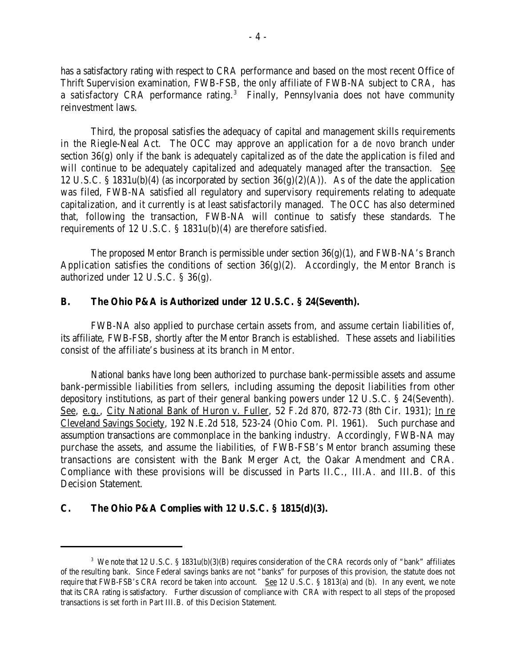has a satisfactory rating with respect to CRA performance and based on the most recent Office of Thrift Supervision examination, FWB-FSB, the only affiliate of FWB-NA subject to CRA, has a satisfactory CRA performance rating.<sup>3</sup> Finally, Pennsylvania does not have community reinvestment laws.

Third, the proposal satisfies the adequacy of capital and management skills requirements in the Riegle-Neal Act. The OCC may approve an application for a *de novo* branch under section 36(g) only if the bank is adequately capitalized as of the date the application is filed and will continue to be adequately capitalized and adequately managed after the transaction. See 12 U.S.C. § 1831u(b)(4) (as incorporated by section  $36(g)(2)(A)$ ). As of the date the application was filed, FWB-NA satisfied all regulatory and supervisory requirements relating to adequate capitalization, and it currently is at least satisfactorily managed. The OCC has also determined that, following the transaction, FWB-NA will continue to satisfy these standards. The requirements of 12 U.S.C. § 1831u(b)(4) are therefore satisfied.

The proposed Mentor Branch is permissible under section  $36(g)(1)$ , and FWB-NA's Branch Application satisfies the conditions of section  $36(g)(2)$ . Accordingly, the Mentor Branch is authorized under 12 U.S.C. § 36(g).

### **B. The Ohio P&A is Authorized under 12 U.S.C. § 24(Seventh).**

FWB-NA also applied to purchase certain assets from, and assume certain liabilities of, its affiliate, FWB-FSB, shortly after the Mentor Branch is established. These assets and liabilities consist of the affiliate's business at its branch in Mentor.

National banks have long been authorized to purchase bank-permissible assets and assume bank-permissible liabilities from sellers, including assuming the deposit liabilities from other depository institutions, as part of their general banking powers under 12 U.S.C. § 24(Seventh). See, e.g., City National Bank of Huron v. Fuller, 52 F.2d 870, 872-73 (8th Cir. 1931); In re Cleveland Savings Society, 192 N.E.2d 518, 523-24 (Ohio Com. Pl. 1961). Such purchase and assumption transactions are commonplace in the banking industry. Accordingly, FWB-NA may purchase the assets, and assume the liabilities, of FWB-FSB's Mentor branch assuming these transactions are consistent with the Bank Merger Act, the Oakar Amendment and CRA. Compliance with these provisions will be discussed in Parts II.C., III.A. and III.B. of this Decision Statement.

# **C. The Ohio P&A Complies with 12 U.S.C. § 1815(d)(3).**

<sup>&</sup>lt;sup>3</sup> We note that 12 U.S.C. § 1831u(b)(3)(B) requires consideration of the CRA records only of "bank" affiliates of the resulting bank. Since Federal savings banks are not "banks" for purposes of this provision, the statute does not require that FWB-FSB's CRA record be taken into account. See 12 U.S.C. § 1813(a) and (b). In any event, we note that its CRA rating is satisfactory. Further discussion of compliance with CRA with respect to all steps of the proposed transactions is set forth in Part III.B. of this Decision Statement.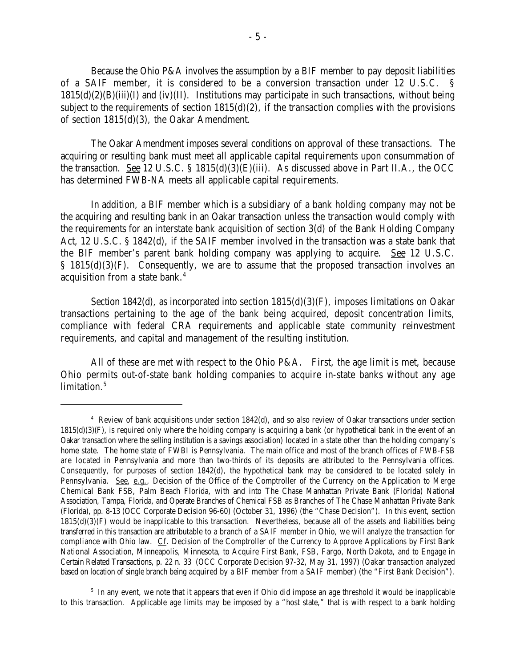Because the Ohio P&A involves the assumption by a BIF member to pay deposit liabilities of a SAIF member, it is considered to be a conversion transaction under 12 U.S.C. §  $1815(d)(2)(B)(iii)(I)$  and  $(iv)(II)$ . Institutions may participate in such transactions, without being subject to the requirements of section  $1815(d)(2)$ , if the transaction complies with the provisions of section 1815(d)(3), the Oakar Amendment.

The Oakar Amendment imposes several conditions on approval of these transactions. The acquiring or resulting bank must meet all applicable capital requirements upon consummation of the transaction. See 12 U.S.C. § 1815(d)(3)(E)(iii). As discussed above in Part II.A., the OCC has determined FWB-NA meets all applicable capital requirements.

In addition, a BIF member which is a subsidiary of a bank holding company may not be the acquiring and resulting bank in an Oakar transaction unless the transaction would comply with the requirements for an interstate bank acquisition of section 3(d) of the Bank Holding Company Act, 12 U.S.C. § 1842(d), if the SAIF member involved in the transaction was a state bank that the BIF member's parent bank holding company was applying to acquire. See 12 U.S.C. § 1815(d)(3)(F). Consequently, we are to assume that the proposed transaction involves an acquisition from a state bank.<sup>4</sup>

Section 1842(d), as incorporated into section  $1815(d)(3)(F)$ , imposes limitations on Oakar transactions pertaining to the age of the bank being acquired, deposit concentration limits, compliance with federal CRA requirements and applicable state community reinvestment requirements, and capital and management of the resulting institution.

All of these are met with respect to the Ohio P&A. First, the age limit is met, because Ohio permits out-of-state bank holding companies to acquire in-state banks without any age  $limitation.<sup>5</sup>$ 

 $4$  Review of bank acquisitions under section 1842(d), and so also review of Oakar transactions under section  $1815(d)(3)(F)$ , is required only where the holding company is acquiring a bank (or hypothetical bank in the event of an Oakar transaction where the selling institution is a savings association) located in a state other than the holding company's home state. The home state of FWBI is Pennsylvania. The main office and most of the branch offices of FWB-FSB are located in Pennsylvania and more than two-thirds of its deposits are attributed to the Pennsylvania offices. Consequently, for purposes of section 1842(d), the hypothetical bank may be considered to be located solely in Pennsylvania. See, e.g., Decision of the Office of the Comptroller of the Currency on the Application to Merge Chemical Bank FSB, Palm Beach Florida, with and into The Chase Manhattan Private Bank (Florida) National Association, Tampa, Florida, and Operate Branches of Chemical FSB as Branches of The Chase Manhattan Private Bank (Florida), pp. 8-13 (OCC Corporate Decision 96-60) (October 31, 1996) (the "Chase Decision"). In this event, section  $1815(d)(3)(F)$  would be inapplicable to this transaction. Nevertheless, because all of the assets and liabilities being transferred in this transaction are attributable to a branch of a SAIF member in Ohio, we will analyze the transaction for compliance with Ohio law. Cf. Decision of the Comptroller of the Currency to Approve Applications by First Bank National Association, Minneapolis, Minnesota, to Acquire First Bank, FSB, Fargo, North Dakota, and to Engage in Certain Related Transactions, p. 22 n. 33 (OCC Corporate Decision 97-32, May 31, 1997) (Oakar transaction analyzed based on location of single branch being acquired by a BIF member from a SAIF member) (the "First Bank Decision").

 $<sup>5</sup>$  In any event, we note that it appears that even if Ohio did impose an age threshold it would be inapplicable</sup> to this transaction. Applicable age limits may be imposed by a "host state," that is with respect to a bank holding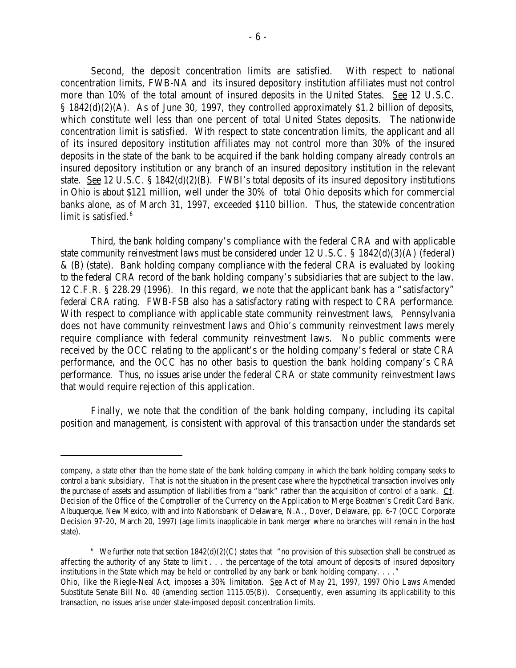Second, the deposit concentration limits are satisfied. With respect to national concentration limits, FWB-NA and its insured depository institution affiliates must not control more than 10% of the total amount of insured deposits in the United States. See 12 U.S.C. § 1842(d)(2)(A). As of June 30, 1997, they controlled approximately \$1.2 billion of deposits, which constitute well less than one percent of total United States deposits. The nationwide concentration limit is satisfied. With respect to state concentration limits, the applicant and all of its insured depository institution affiliates may not control more than 30% of the insured deposits in the state of the bank to be acquired if the bank holding company already controls an insured depository institution or any branch of an insured depository institution in the relevant state. See 12 U.S.C.  $\S$  1842(d)(2)(B). FWBI's total deposits of its insured depository institutions in Ohio is about \$121 million, well under the 30% of total Ohio deposits which for commercial banks alone, as of March 31, 1997, exceeded \$110 billion. Thus, the statewide concentration limit is satisfied. 6

Third, the bank holding company's compliance with the federal CRA and with applicable state community reinvestment laws must be considered under 12 U.S.C. § 1842(d)(3)(A) (federal) & (B) (state). Bank holding company compliance with the federal CRA is evaluated by looking to the federal CRA record of the bank holding company's subsidiaries that are subject to the law. 12 C.F.R. § 228.29 (1996). In this regard, we note that the applicant bank has a "satisfactory" federal CRA rating. FWB-FSB also has a satisfactory rating with respect to CRA performance. With respect to compliance with applicable state community reinvestment laws, Pennsylvania does not have community reinvestment laws and Ohio's community reinvestment laws merely require compliance with federal community reinvestment laws. No public comments were received by the OCC relating to the applicant's or the holding company's federal or state CRA performance, and the OCC has no other basis to question the bank holding company's CRA performance. Thus, no issues arise under the federal CRA or state community reinvestment laws that would require rejection of this application.

Finally, we note that the condition of the bank holding company, including its capital position and management, is consistent with approval of this transaction under the standards set

company, a state other than the home state of the bank holding company in which the bank holding company seeks to control a bank subsidiary. That is not the situation in the present case where the hypothetical transaction involves only the purchase of assets and assumption of liabilities from a "bank" rather than the acquisition of control of a bank. Cf. Decision of the Office of the Comptroller of the Currency on the Application to Merge Boatmen's Credit Card Bank, Albuquerque, New Mexico, with and into Nationsbank of Delaware, N.A., Dover, Delaware, pp. 6-7 (OCC Corporate Decision 97-20, March 20, 1997) (age limits inapplicable in bank merger where no branches will remain in the host state).

<sup>&</sup>lt;sup>6</sup> We further note that section  $1842(d)(2)(C)$  states that "no provision of this subsection shall be construed as affecting the authority of any State to limit . . . the percentage of the total amount of deposits of insured depository institutions in the State which may be held or controlled by any bank or bank holding company. . . ." Ohio, like the Riegle-Neal Act, imposes a 30% limitation. See Act of May 21, 1997, 1997 Ohio Laws Amended Substitute Senate Bill No. 40 (amending section 1115.05(B)). Consequently, even assuming its applicability to this transaction, no issues arise under state-imposed deposit concentration limits.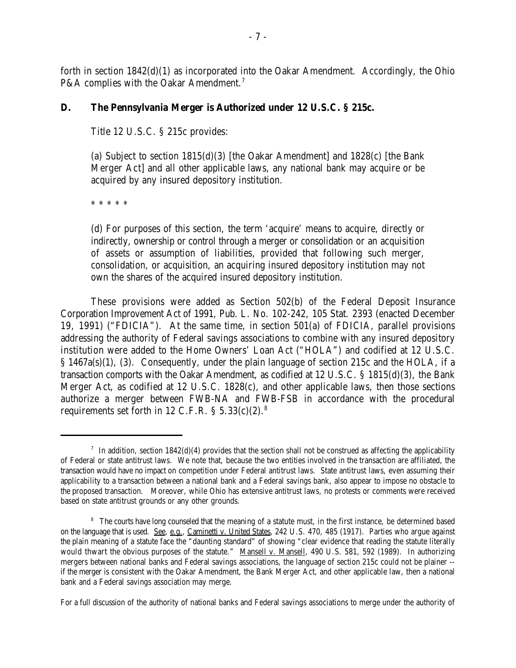forth in section 1842(d)(1) as incorporated into the Oakar Amendment. Accordingly, the Ohio P&A complies with the Oakar Amendment.<sup>7</sup>

# **D. The Pennsylvania Merger is Authorized under 12 U.S.C. § 215c.**

Title 12 U.S.C. § 215c provides:

(a) Subject to section 1815(d)(3) [the Oakar Amendment] and 1828(c) [the Bank Merger Act] and all other applicable laws, any national bank may acquire or be acquired by any insured depository institution.

\* \* \* \* \*

(d) For purposes of this section, the term 'acquire' means to acquire, directly or indirectly, ownership or control through a merger or consolidation or an acquisition of assets or assumption of liabilities, provided that following such merger, consolidation, or acquisition, an acquiring insured depository institution may not own the shares of the acquired insured depository institution.

These provisions were added as Section 502(b) of the Federal Deposit Insurance Corporation Improvement Act of 1991, Pub. L. No. 102-242, 105 Stat. 2393 (enacted December 19, 1991) ("FDICIA"). At the same time, in section 501(a) of FDICIA, parallel provisions addressing the authority of Federal savings associations to combine with any insured depository institution were added to the Home Owners' Loan Act ("HOLA") and codified at 12 U.S.C. § 1467a(s)(1), (3). Consequently, under the plain language of section 215c and the HOLA, if a transaction comports with the Oakar Amendment, as codified at 12 U.S.C. § 1815(d)(3), the Bank Merger Act, as codified at 12 U.S.C. 1828(c), and other applicable laws, then those sections authorize a merger between FWB-NA and FWB-FSB in accordance with the procedural requirements set forth in 12 C.F.R.  $\S$  5.33(c)(2).<sup>8</sup>

For a full discussion of the authority of national banks and Federal savings associations to merge under the authority of

In addition, section  $1842(d)(4)$  provides that the section shall not be construed as affecting the applicability of Federal or state antitrust laws. We note that, because the two entities involved in the transaction are affiliated, the transaction would have no impact on competition under Federal antitrust laws. State antitrust laws, even assuming their applicability to a transaction between a national bank and a Federal savings bank, also appear to impose no obstacle to the proposed transaction. Moreover, while Ohio has extensive antitrust laws, no protests or comments were received based on state antitrust grounds or any other grounds.

<sup>&</sup>lt;sup>8</sup> The courts have long counseled that the meaning of a statute must, in the first instance, be determined based on the language that is used. See, e.g., Caminetti v. United States, 242 U.S. 470, 485 (1917). Parties who argue against the plain meaning of a statute face the "daunting standard" of showing "clear evidence that reading the statute literally would thwart the obvious purposes of the statute." Mansell v. Mansell, 490 U.S. 581, 592 (1989). In authorizing mergers between national banks and Federal savings associations, the language of section 215c could not be plainer - if the merger is consistent with the Oakar Amendment, the Bank Merger Act, and other applicable law, then a national bank and a Federal savings association may merge.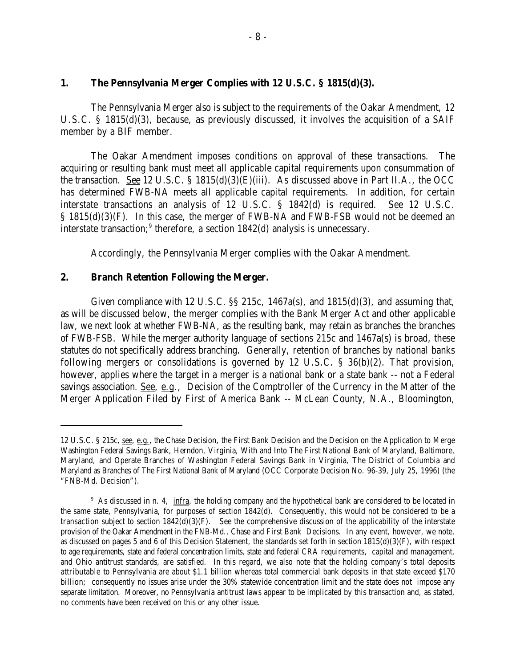#### **1. The Pennsylvania Merger Complies with 12 U.S.C. § 1815(d)(3).**

The Pennsylvania Merger also is subject to the requirements of the Oakar Amendment, 12 U.S.C. § 1815(d)(3), because, as previously discussed, it involves the acquisition of a SAIF member by a BIF member.

The Oakar Amendment imposes conditions on approval of these transactions. The acquiring or resulting bank must meet all applicable capital requirements upon consummation of the transaction. <u>See</u> 12 U.S.C. § 1815(d)(3)(E)(iii). As discussed above in Part II.A., the OCC has determined FWB-NA meets all applicable capital requirements. In addition, for certain interstate transactions an analysis of 12 U.S.C. § 1842(d) is required. See 12 U.S.C. § 1815(d)(3)(F). In this case, the merger of FWB-NA and FWB-FSB would not be deemed an interstate transaction;<sup>9</sup> therefore, a section  $1842(d)$  analysis is unnecessary.

Accordingly, the Pennsylvania Merger complies with the Oakar Amendment.

#### **2. Branch Retention Following the Merger.**

Given compliance with 12 U.S.C.  $\S$  215c, 1467a(s), and 1815(d)(3), and assuming that, as will be discussed below, the merger complies with the Bank Merger Act and other applicable law, we next look at whether FWB-NA, as the resulting bank, may retain as branches the branches of FWB-FSB. While the merger authority language of sections 215c and 1467a(s) is broad, these statutes do not specifically address branching. Generally, retention of branches by national banks following mergers or consolidations is governed by 12 U.S.C. § 36(b)(2). That provision, however, applies where the target in a merger is a national bank or a state bank -- not a Federal savings association. See, e.g., Decision of the Comptroller of the Currency in the Matter of the Merger Application Filed by First of America Bank -- McLean County, N.A., Bloomington,

<sup>12</sup> U.S.C. § 215c, see, e.g., the Chase Decision, the First Bank Decision and the Decision on the Application to Merge Washington Federal Savings Bank, Herndon, Virginia, With and Into The First National Bank of Maryland, Baltimore, Maryland, and Operate Branches of Washington Federal Savings Bank in Virginia, The District of Columbia and Maryland as Branches of The First National Bank of Maryland (OCC Corporate Decision No. 96-39, July 25, 1996) (the "FNB-Md. Decision").

<sup>&</sup>lt;sup>9</sup> As discussed in n. 4, infra, the holding company and the hypothetical bank are considered to be located in the same state, Pennsylvania, for purposes of section 1842(d). Consequently, this would not be considered to be a transaction subject to section 1842(d)(3)(F). See the comprehensive discussion of the applicability of the interstate provision of the Oakar Amendment in the FNB-Md., Chase and First Bank Decisions. In any event, however, we note, as discussed on pages 5 and 6 of this Decision Statement, the standards set forth in section  $1815(d)(3)(F)$ , with respect to age requirements, state and federal concentration limits, state and federal CRA requirements, capital and management, and Ohio antitrust standards, are satisfied. In this regard, we also note that the holding company's total deposits attributable to Pennsylvania are about \$1.1 billion whereas total commercial bank deposits in that state exceed \$170 billion; consequently no issues arise under the 30% statewide concentration limit and the state does not impose any separate limitation. Moreover, no Pennsylvania antitrust laws appear to be implicated by this transaction and, as stated, no comments have been received on this or any other issue.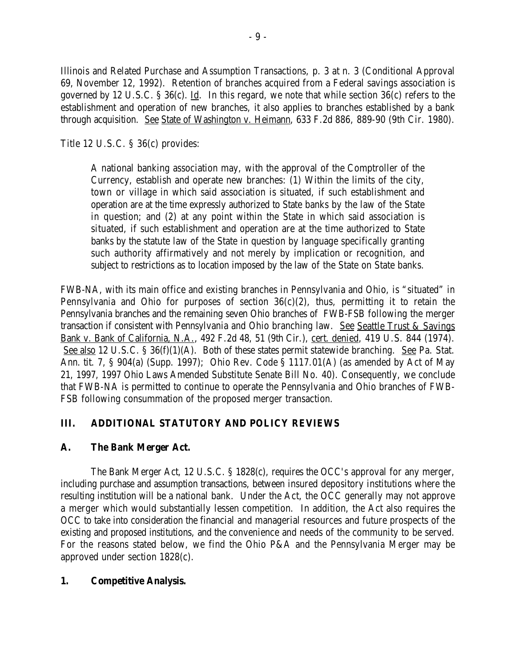Illinois and Related Purchase and Assumption Transactions, p. 3 at n. 3 (Conditional Approval 69, November 12, 1992). Retention of branches acquired from a Federal savings association is governed by 12 U.S.C. § 36(c). Id. In this regard, we note that while section 36(c) refers to the establishment and operation of new branches, it also applies to branches established by a bank through acquisition. See State of Washington v. Heimann, 633 F.2d 886, 889-90 (9th Cir. 1980).

Title 12 U.S.C. § 36(c) provides:

A national banking association may, with the approval of the Comptroller of the Currency, establish and operate new branches: (1) Within the limits of the city, town or village in which said association is situated, if such establishment and operation are at the time expressly authorized to State banks by the law of the State in question; and (2) at any point within the State in which said association is situated, if such establishment and operation are at the time authorized to State banks by the statute law of the State in question by language specifically granting such authority affirmatively and not merely by implication or recognition, and subject to restrictions as to location imposed by the law of the State on State banks.

FWB-NA, with its main office and existing branches in Pennsylvania and Ohio, is "situated" in Pennsylvania and Ohio for purposes of section 36(c)(2), thus, permitting it to retain the Pennsylvania branches and the remaining seven Ohio branches of FWB-FSB following the merger transaction if consistent with Pennsylvania and Ohio branching law. See Seattle Trust & Savings Bank v. Bank of California, N.A., 492 F.2d 48, 51 (9th Cir.), cert. denied, 419 U.S. 844 (1974). See also 12 U.S.C. § 36(f)(1)(A). Both of these states permit statewide branching. See Pa. Stat. Ann. tit. 7, § 904(a) (Supp. 1997); Ohio Rev. Code § 1117.01(A) (as amended by Act of May 21, 1997, 1997 Ohio Laws Amended Substitute Senate Bill No. 40). Consequently, we conclude that FWB-NA is permitted to continue to operate the Pennsylvania and Ohio branches of FWB-FSB following consummation of the proposed merger transaction.

# **III. ADDITIONAL STATUTORY AND POLICY REVIEWS**

# **A. The Bank Merger Act.**

The Bank Merger Act, 12 U.S.C. § 1828(c), requires the OCC's approval for any merger, including purchase and assumption transactions, between insured depository institutions where the resulting institution will be a national bank. Under the Act, the OCC generally may not approve a merger which would substantially lessen competition. In addition, the Act also requires the OCC to take into consideration the financial and managerial resources and future prospects of the existing and proposed institutions, and the convenience and needs of the community to be served. For the reasons stated below, we find the Ohio P&A and the Pennsylvania Merger may be approved under section 1828(c).

# **1. Competitive Analysis.**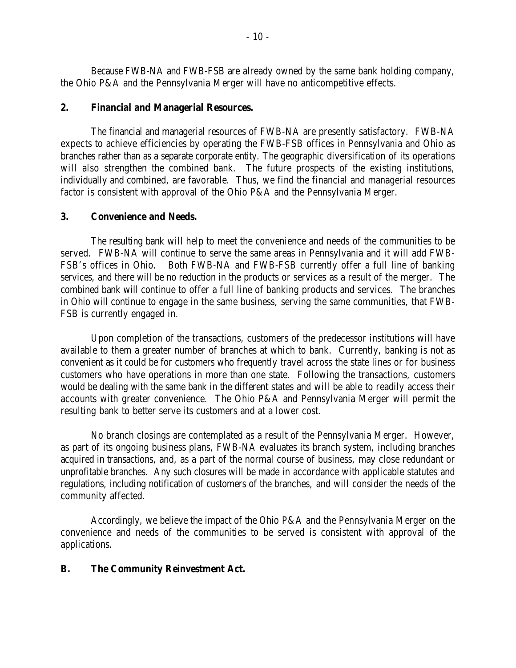Because FWB-NA and FWB-FSB are already owned by the same bank holding company, the Ohio P&A and the Pennsylvania Merger will have no anticompetitive effects.

### **2. Financial and Managerial Resources.**

The financial and managerial resources of FWB-NA are presently satisfactory. FWB-NA expects to achieve efficiencies by operating the FWB-FSB offices in Pennsylvania and Ohio as branches rather than as a separate corporate entity. The geographic diversification of its operations will also strengthen the combined bank. The future prospects of the existing institutions, individually and combined, are favorable. Thus, we find the financial and managerial resources factor is consistent with approval of the Ohio P&A and the Pennsylvania Merger.

### **3. Convenience and Needs.**

The resulting bank will help to meet the convenience and needs of the communities to be served. FWB-NA will continue to serve the same areas in Pennsylvania and it will add FWB-FSB's offices in Ohio. Both FWB-NA and FWB-FSB currently offer a full line of banking services, and there will be no reduction in the products or services as a result of the merger. The combined bank will continue to offer a full line of banking products and services. The branches in Ohio will continue to engage in the same business, serving the same communities, that FWB-FSB is currently engaged in.

Upon completion of the transactions, customers of the predecessor institutions will have available to them a greater number of branches at which to bank. Currently, banking is not as convenient as it could be for customers who frequently travel across the state lines or for business customers who have operations in more than one state. Following the transactions, customers would be dealing with the same bank in the different states and will be able to readily access their accounts with greater convenience. The Ohio P&A and Pennsylvania Merger will permit the resulting bank to better serve its customers and at a lower cost.

No branch closings are contemplated as a result of the Pennsylvania Merger. However, as part of its ongoing business plans, FWB-NA evaluates its branch system, including branches acquired in transactions, and, as a part of the normal course of business, may close redundant or unprofitable branches. Any such closures will be made in accordance with applicable statutes and regulations, including notification of customers of the branches, and will consider the needs of the community affected.

Accordingly, we believe the impact of the Ohio P&A and the Pennsylvania Merger on the convenience and needs of the communities to be served is consistent with approval of the applications.

# **B. The Community Reinvestment Act.**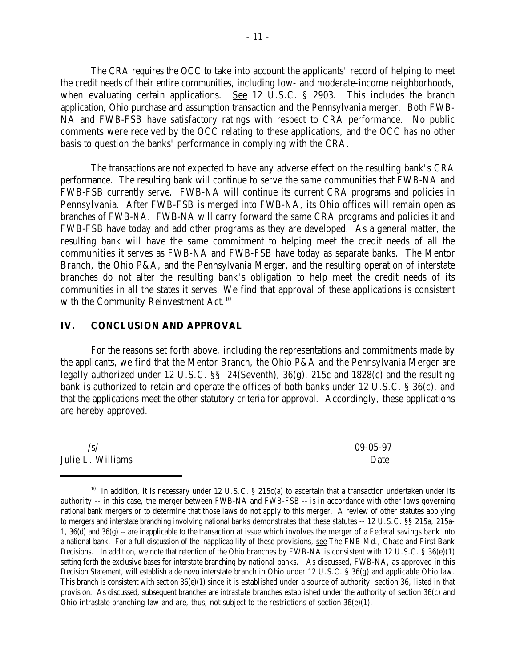The CRA requires the OCC to take into account the applicants' record of helping to meet the credit needs of their entire communities, including low- and moderate-income neighborhoods, when evaluating certain applications. See 12 U.S.C. § 2903. This includes the branch application, Ohio purchase and assumption transaction and the Pennsylvania merger. Both FWB-NA and FWB-FSB have satisfactory ratings with respect to CRA performance. No public comments were received by the OCC relating to these applications, and the OCC has no other basis to question the banks' performance in complying with the CRA.

The transactions are not expected to have any adverse effect on the resulting bank's CRA performance. The resulting bank will continue to serve the same communities that FWB-NA and FWB-FSB currently serve. FWB-NA will continue its current CRA programs and policies in Pennsylvania. After FWB-FSB is merged into FWB-NA, its Ohio offices will remain open as branches of FWB-NA. FWB-NA will carry forward the same CRA programs and policies it and FWB-FSB have today and add other programs as they are developed. As a general matter, the resulting bank will have the same commitment to helping meet the credit needs of all the communities it serves as FWB-NA and FWB-FSB have today as separate banks. The Mentor Branch, the Ohio P&A, and the Pennsylvania Merger, and the resulting operation of interstate branches do not alter the resulting bank's obligation to help meet the credit needs of its communities in all the states it serves. We find that approval of these applications is consistent with the Community Reinvestment Act.<sup>10</sup>

### **IV. CONCLUSION AND APPROVAL**

For the reasons set forth above, including the representations and commitments made by the applicants, we find that the Mentor Branch, the Ohio P&A and the Pennsylvania Merger are legally authorized under 12 U.S.C. §§ 24(Seventh), 36(g), 215c and 1828(c) and the resulting bank is authorized to retain and operate the offices of both banks under 12 U.S.C. § 36(c), and that the applications meet the other statutory criteria for approval. Accordingly, these applications are hereby approved.

Julie L. Williams Date

 $/s/$  09-05-97

<sup>&</sup>lt;sup>10</sup> In addition, it is necessary under 12 U.S.C. § 215c(a) to ascertain that a transaction undertaken under its authority -- in this case, the merger between FWB-NA and FWB-FSB -- is in accordance with other laws governing national bank mergers or to determine that those laws do not apply to this merger. A review of other statutes applying to mergers and interstate branching involving national banks demonstrates that these statutes -- 12 U.S.C. §§ 215a, 215a-1, 36(d) and 36(g) -- are inapplicable to the transaction at issue which involves the merger of a Federal savings bank into a national bank. For a full discussion of the inapplicability of these provisions, see The FNB-Md., Chase and First Bank Decisions. In addition, we note that retention of the Ohio branches by FWB-NA is consistent with 12 U.S.C.  $\S$  36(e)(1) setting forth the exclusive bases for *interstat*e branching by national banks. As discussed, FWB-NA, as approved in this Decision Statement, will establish a de novo interstate branch in Ohio under 12 U.S.C. § 36(g) and applicable Ohio law. This branch is consistent with section  $36(e)(1)$  since it is established under a source of authority, section 36, listed in that provision. As discussed, subsequent branches are *intrastate* branches established under the authority of section 36(c) and Ohio intrastate branching law and are, thus, not subject to the restrictions of section 36(e)(1).